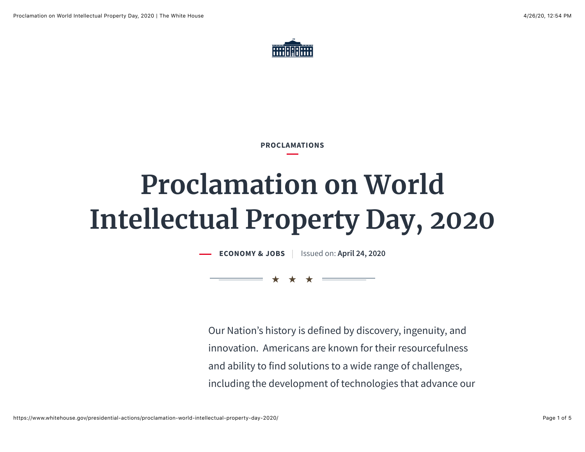

**PROCLAMATIONS**

## **Proclamation on World Intellectual Property Day, 2020**

**[ECONOMY & JOBS](https://www.whitehouse.gov/issues/economy-jobs/)** | Issued on: April 24, 2020

★★★

Our Nation's history is defined by discovery, ingenuity, and innovation. Americans are known for their resourcefulness and ability to find solutions to a wide range of challenges, including the development of technologies that advance our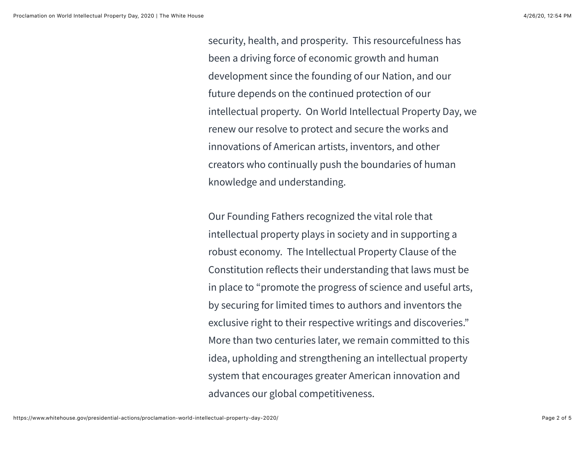security, health, and prosperity. This resourcefulness has been a driving force of economic growth and human development since the founding of our Nation, and our future depends on the continued protection of our intellectual property. On World Intellectual Property Day, we renew our resolve to protect and secure the works and innovations of American artists, inventors, and other creators who continually push the boundaries of human knowledge and understanding.

Our Founding Fathers recognized the vital role that intellectual property plays in society and in supporting a robust economy. The Intellectual Property Clause of the Constitution reflects their understanding that laws must be in place to "promote the progress of science and useful arts, by securing for limited times to authors and inventors the exclusive right to their respective writings and discoveries." More than two centuries later, we remain committed to this idea, upholding and strengthening an intellectual property system that encourages greater American innovation and advances our global competitiveness.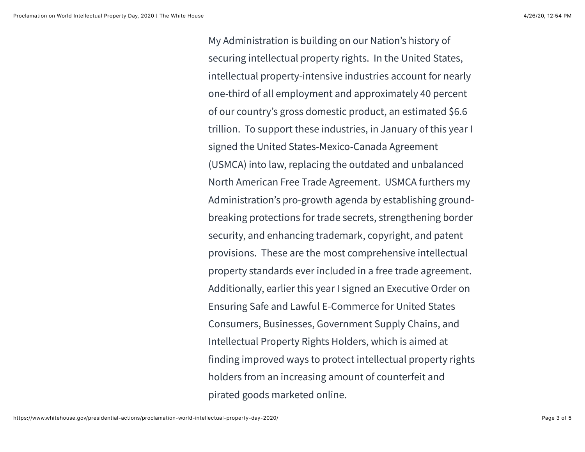My Administration is building on our Nation's history of securing intellectual property rights. In the United States, intellectual property-intensive industries account for nearly one-third of all employment and approximately 40 percent of our country's gross domestic product, an estimated \$6.6 trillion. To support these industries, in January of this year I signed the United States-Mexico-Canada Agreement (USMCA) into law, replacing the outdated and unbalanced North American Free Trade Agreement. USMCA furthers my Administration's pro-growth agenda by establishing groundbreaking protections for trade secrets, strengthening border security, and enhancing trademark, copyright, and patent provisions. These are the most comprehensive intellectual property standards ever included in a free trade agreement. Additionally, earlier this year I signed an Executive Order on Ensuring Safe and Lawful E-Commerce for United States Consumers, Businesses, Government Supply Chains, and Intellectual Property Rights Holders, which is aimed at finding improved ways to protect intellectual property rights holders from an increasing amount of counterfeit and pirated goods marketed online.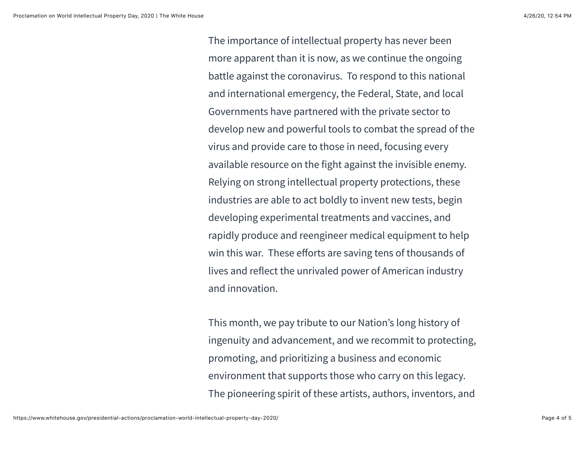The importance of intellectual property has never been more apparent than it is now, as we continue the ongoing battle against the coronavirus. To respond to this national and international emergency, the Federal, State, and local Governments have partnered with the private sector to develop new and powerful tools to combat the spread of the virus and provide care to those in need, focusing every available resource on the fight against the invisible enemy. Relying on strong intellectual property protections, these industries are able to act boldly to invent new tests, begin developing experimental treatments and vaccines, and rapidly produce and reengineer medical equipment to help win this war. These efforts are saving tens of thousands of lives and reflect the unrivaled power of American industry and innovation.

This month, we pay tribute to our Nation's long history of ingenuity and advancement, and we recommit to protecting, promoting, and prioritizing a business and economic environment that supports those who carry on this legacy. The pioneering spirit of these artists, authors, inventors, and